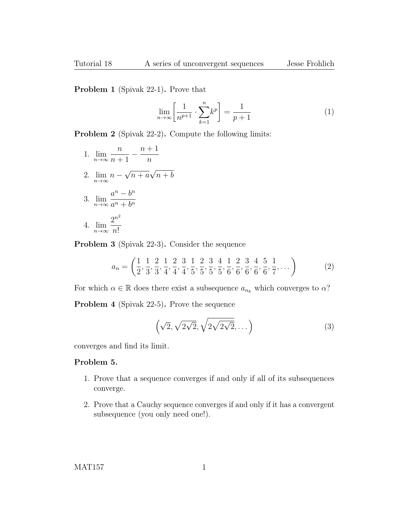Problem 1 (Spivak 22-1). Prove that

$$
\lim_{n \to \infty} \left[ \frac{1}{n^{p+1}} \cdot \sum_{k=1}^{n} k^p \right] = \frac{1}{p+1} \tag{1}
$$

Problem 2 (Spivak 22-2). Compute the following limits:

1. 
$$
\lim_{n \to \infty} \frac{n}{n+1} - \frac{n+1}{n}
$$
  
2. 
$$
\lim_{n \to \infty} n - \sqrt{n+a} \sqrt{n+b}
$$
  
3. 
$$
\lim_{n \to \infty} \frac{a^n - b^n}{a^n + b^n}
$$
  
4. 
$$
\lim_{n \to \infty} \frac{2^{n^2}}{n!}
$$

Problem 3 (Spivak 22-3). Consider the sequence

$$
a_n = \left(\frac{1}{2}, \frac{1}{3}, \frac{2}{3}, \frac{1}{4}, \frac{2}{4}, \frac{3}{4}, \frac{1}{5}, \frac{2}{5}, \frac{3}{5}, \frac{4}{5}, \frac{1}{6}, \frac{2}{6}, \frac{3}{6}, \frac{4}{6}, \frac{5}{6}, \frac{1}{7}, \dots\right) \tag{2}
$$

For which  $\alpha \in \mathbb{R}$  does there exist a subsequence  $a_{n_k}$  which converges to  $\alpha$ ?

Problem 4 (Spivak 22-5). Prove the sequence

$$
\left(\sqrt{2}, \sqrt{2\sqrt{2}}, \sqrt{2\sqrt{2\sqrt{2}}}, \dots\right) \tag{3}
$$

converges and find its limit.

## Problem 5.

- 1. Prove that a sequence converges if and only if all of its subsequences converge.
- 2. Prove that a Cauchy sequence converges if and only if it has a convergent subsequence (you only need one!).

MAT157 1